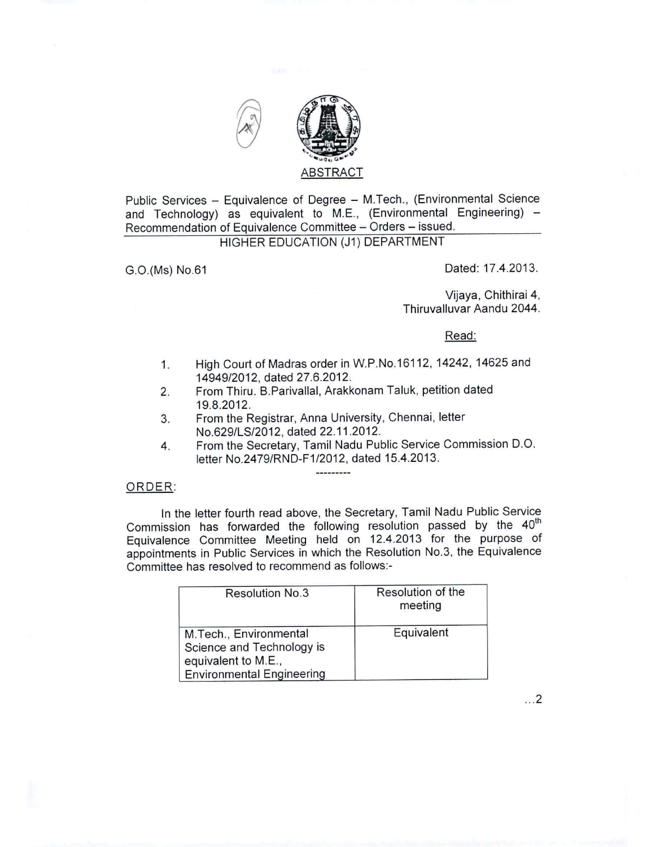

Public Services - Equivalence of Degree - M.Tech., (Environmental Science and Technology) as equivalent to M.E., (Environmental Engineering)  $-$ Recommendation of Equivalence Committee - Orders - issued.

## HIGHER EDUCATION (J1) DEPARTMENT

G.O.(Ms) No.61 Dated: 17.4.2013.

Vijaya, Chithirai 4, Thiruvalluvar Aandu 2044.

Read:

- 1. High Court of Madras order in W.P.No.16112, 14242, 14625 and 14949/2012, dated 27.6.2012.
- 2. From Thiru. B.Parivallal, Arakkonam Taluk, petition dated 19.8.2012.
- 3. From the Registrar, Anna University, Chennai, letter NO.629/LS/2012, dated 22.11.2012.
- 4. From the Secretary, Tamil Nadu Public Service Commission D.O. letter No.2479/RND-F1/2012, dated 15.4.2013.

----------

## ORDER:

In the letter fourth read above, the Secretary, Tamil Nadu Public Service Commission has forwarded the following resolution passed by the 40<sup>th</sup> Equivalence Committee Meeting held on 12.4.2013 for the purpose of appointments in Public Services in which the Resolution NO.3, the Equivalence Committee has resolved to recommend as follows:-

| <b>Resolution No.3</b>                                                                                         | Resolution of the<br>meeting |
|----------------------------------------------------------------------------------------------------------------|------------------------------|
| M.Tech., Environmental<br>Science and Technology is<br>equivalent to M.E.,<br><b>Environmental Engineering</b> | Equivalent                   |

... 2